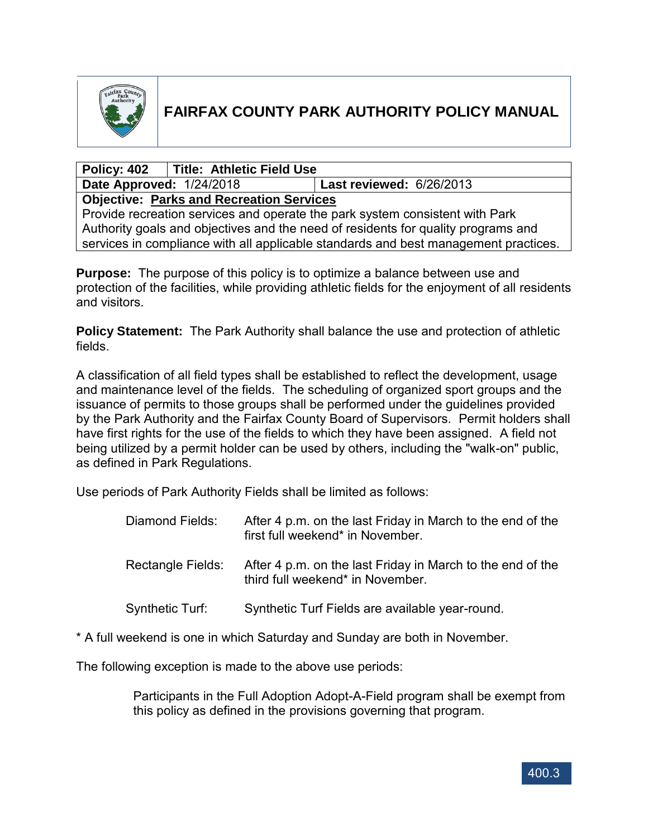

# **FAIRFAX COUNTY PARK AUTHORITY POLICY MANUAL**

## **Policy: 402 Title: Athletic Field Use**

**Date Approved:** 1/24/2018 **Last reviewed:** 6/26/2013

**Objective: Parks and Recreation Services**

Provide recreation services and operate the park system consistent with Park Authority goals and objectives and the need of residents for quality programs and services in compliance with all applicable standards and best management practices.

**Purpose:** The purpose of this policy is to optimize a balance between use and protection of the facilities, while providing athletic fields for the enjoyment of all residents and visitors.

**Policy Statement:** The Park Authority shall balance the use and protection of athletic fields.

A classification of all field types shall be established to reflect the development, usage and maintenance level of the fields. The scheduling of organized sport groups and the issuance of permits to those groups shall be performed under the guidelines provided by the Park Authority and the Fairfax County Board of Supervisors. Permit holders shall have first rights for the use of the fields to which they have been assigned. A field not being utilized by a permit holder can be used by others, including the "walk-on" public, as defined in Park Regulations.

Use periods of Park Authority Fields shall be limited as follows:

| Diamond Fields:        | After 4 p.m. on the last Friday in March to the end of the<br>first full weekend* in November. |
|------------------------|------------------------------------------------------------------------------------------------|
| Rectangle Fields:      | After 4 p.m. on the last Friday in March to the end of the<br>third full weekend* in November. |
| <b>Synthetic Turf:</b> | Synthetic Turf Fields are available year-round.                                                |

\* A full weekend is one in which Saturday and Sunday are both in November.

The following exception is made to the above use periods:

Participants in the Full Adoption Adopt-A-Field program shall be exempt from this policy as defined in the provisions governing that program.